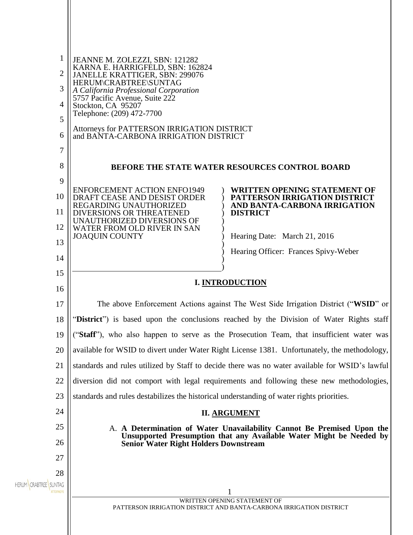| $\mathbf{1}$                          | JEANNE M. ZOLEZZI, SBN: 121282                                                            |                                                                                                                                               |  |
|---------------------------------------|-------------------------------------------------------------------------------------------|-----------------------------------------------------------------------------------------------------------------------------------------------|--|
| $\overline{2}$                        | KARNA E. HARRIGFELD, SBN: 162824<br>JANELLE KRATTIGER, SBN: 299076                        |                                                                                                                                               |  |
| 3                                     | HERUM\CRABTREE\SUNTAG<br>A California Professional Corporation                            |                                                                                                                                               |  |
| 4                                     | 5757 Pacific Avenue, Suite 222<br>Stockton, CA 95207                                      |                                                                                                                                               |  |
| 5                                     | Telephone: (209) 472-7700                                                                 |                                                                                                                                               |  |
| 6                                     | Attorneys for PATTERSON IRRIGATION DISTRICT<br>and BANTA-CARBONA IRRIGATION DISTRICT      |                                                                                                                                               |  |
| 7                                     |                                                                                           |                                                                                                                                               |  |
| 8                                     | <b>BEFORE THE STATE WATER RESOURCES CONTROL BOARD</b>                                     |                                                                                                                                               |  |
| 9                                     | <b>ENFORCEMENT ACTION ENFO1949</b>                                                        | <b>WRITTEN OPENING STATEMENT OF</b>                                                                                                           |  |
| 10                                    | DRAFT CEASE AND DESIST ORDER<br>REGARDING UNAUTHORIZED                                    | PATTERSON IRRIGATION DISTRICT<br>AND BANTA-CARBONA IRRIGATION                                                                                 |  |
| 11                                    | DIVERSIONS OR THREATENED<br>UNAUTHORIZED DIVERSIONS OF                                    | <b>DISTRICT</b>                                                                                                                               |  |
| 12                                    | WATER FROM OLD RIVER IN SAN<br><b>JOAQUIN COUNTY</b>                                      | Hearing Date: March 21, 2016                                                                                                                  |  |
| 13                                    |                                                                                           | Hearing Officer: Frances Spivy-Weber                                                                                                          |  |
| 14                                    |                                                                                           |                                                                                                                                               |  |
| 15                                    |                                                                                           | <b>I. INTRODUCTION</b>                                                                                                                        |  |
| 16                                    |                                                                                           |                                                                                                                                               |  |
| 17                                    | The above Enforcement Actions against The West Side Irrigation District ("WSID" or        |                                                                                                                                               |  |
|                                       |                                                                                           |                                                                                                                                               |  |
| 18                                    |                                                                                           | "District") is based upon the conclusions reached by the Division of Water Rights staff                                                       |  |
| 19                                    |                                                                                           | ("Staff"), who also happen to serve as the Prosecution Team, that insufficient water was                                                      |  |
| 20                                    |                                                                                           | available for WSID to divert under Water Right License 1381. Unfortunately, the methodology,                                                  |  |
| 21                                    |                                                                                           | standards and rules utilized by Staff to decide there was no water available for WSID's lawful                                                |  |
| 22                                    |                                                                                           | diversion did not comport with legal requirements and following these new methodologies,                                                      |  |
| 23                                    | standards and rules destabilizes the historical understanding of water rights priorities. |                                                                                                                                               |  |
| 24                                    |                                                                                           | <b>II. ARGUMENT</b>                                                                                                                           |  |
| 25                                    |                                                                                           | A. A Determination of Water Unavailability Cannot Be Premised Upon the<br>Unsupported Presumption that any Available Water Might be Needed by |  |
| 26                                    | <b>Senior Water Right Holders Downstream</b>                                              |                                                                                                                                               |  |
| 27                                    |                                                                                           |                                                                                                                                               |  |
| 28<br><b>HERUM CRABTREE</b><br>SUNTAG |                                                                                           |                                                                                                                                               |  |
|                                       |                                                                                           | WRITTEN OPENING STATEMENT OF                                                                                                                  |  |
|                                       |                                                                                           | PATTERSON IRRIGATION DISTRICT AND BANTA-CARBONA IRRIGATION DISTRICT                                                                           |  |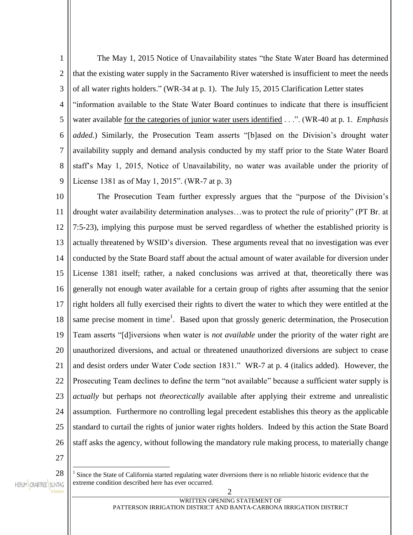1 2 3 4 5 6 7 8 9 The May 1, 2015 Notice of Unavailability states "the State Water Board has determined that the existing water supply in the Sacramento River watershed is insufficient to meet the needs of all water rights holders." (WR-34 at p. 1). The July 15, 2015 Clarification Letter states "information available to the State Water Board continues to indicate that there is insufficient water available for the categories of junior water users identified . . .". (WR-40 at p. 1. *Emphasis added.*) Similarly, the Prosecution Team asserts "[b]ased on the Division's drought water availability supply and demand analysis conducted by my staff prior to the State Water Board staff's May 1, 2015, Notice of Unavailability, no water was available under the priority of License 1381 as of May 1, 2015". (WR-7 at p. 3)

10 11 12 13 14 15 16 17 18 19 20 21 22 23 24 25 26 The Prosecution Team further expressly argues that the "purpose of the Division's drought water availability determination analyses…was to protect the rule of priority" (PT Br. at 7:5-23), implying this purpose must be served regardless of whether the established priority is actually threatened by WSID's diversion. These arguments reveal that no investigation was ever conducted by the State Board staff about the actual amount of water available for diversion under License 1381 itself; rather, a naked conclusions was arrived at that, theoretically there was generally not enough water available for a certain group of rights after assuming that the senior right holders all fully exercised their rights to divert the water to which they were entitled at the same precise moment in time<sup>1</sup>. Based upon that grossly generic determination, the Prosecution Team asserts "[d]iversions when water is *not available* under the priority of the water right are unauthorized diversions, and actual or threatened unauthorized diversions are subject to cease and desist orders under Water Code section 1831." WR-7 at p. 4 (italics added). However, the Prosecuting Team declines to define the term "not available" because a sufficient water supply is *actually* but perhaps not *theorectically* available after applying their extreme and unrealistic assumption. Furthermore no controlling legal precedent establishes this theory as the applicable standard to curtail the rights of junior water rights holders. Indeed by this action the State Board staff asks the agency, without following the mandatory rule making process, to materially change

27

 $\overline{a}$ 1

- 28 HERUM CRABTREE SUNTAG
- Since the State of California started regulating water diversions there is no reliable historic evidence that the extreme condition described here has ever occurred.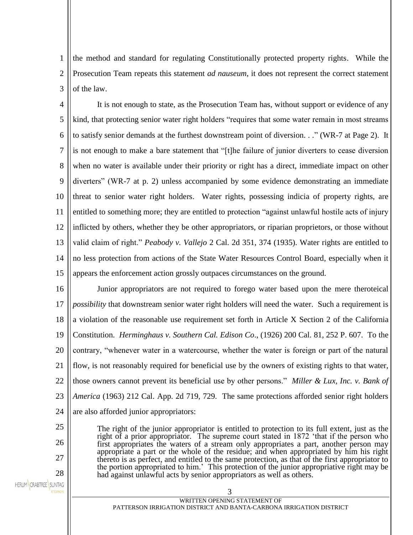1 2 3 the method and standard for regulating Constitutionally protected property rights. While the Prosecution Team repeats this statement *ad nauseum*, it does not represent the correct statement of the law.

4 5 6 7 8 9 10 11 12 13 14 15 It is not enough to state, as the Prosecution Team has, without support or evidence of any kind, that protecting senior water right holders "requires that some water remain in most streams to satisfy senior demands at the furthest downstream point of diversion. . ." (WR-7 at Page 2). It is not enough to make a bare statement that "[t]he failure of junior diverters to cease diversion when no water is available under their priority or right has a direct, immediate impact on other diverters" (WR-7 at p. 2) unless accompanied by some evidence demonstrating an immediate threat to senior water right holders. Water rights, possessing indicia of property rights, are entitled to something more; they are entitled to protection "against unlawful hostile acts of injury inflicted by others, whether they be other appropriators, or riparian proprietors, or those without valid claim of right." *Peabody v. Vallejo* 2 Cal. 2d 351, 374 (1935). Water rights are entitled to no less protection from actions of the State Water Resources Control Board, especially when it appears the enforcement action grossly outpaces circumstances on the ground.

16 17 18 19 20 21 22 23 24 Junior appropriators are not required to forego water based upon the mere theroteical *possibility* that downstream senior water right holders will need the water. Such a requirement is a violation of the reasonable use requirement set forth in Article X Section 2 of the California Constitution. *Herminghaus v. Southern Cal. Edison Co*., (1926) 200 Cal. 81, 252 P. 607. To the contrary, "whenever water in a watercourse, whether the water is foreign or part of the natural flow, is not reasonably required for beneficial use by the owners of existing rights to that water, those owners cannot prevent its beneficial use by other persons." *Miller & Lux, Inc. v. Bank of America* (1963) 212 Cal. App. 2d 719, 729. The same protections afforded senior right holders are also afforded junior appropriators:

> The right of the junior appropriator is entitled to protection to its full extent, just as the right of a prior appropriator. The supreme court stated in 1872 'that if the person who first appropriates the waters of a stream only appropriates a part, another person may appropriate a part or the whole of the residue; and when appropriated by him his right thereto is as perfect, and entitled to the same protection, as that of the first appropriator to the portion appropriated to him.' This protection of the junior appropriative right may be had against unlawful acts by senior appropriators as well as others.

HERUM CRABTREE SUNTAG

25

26

27

28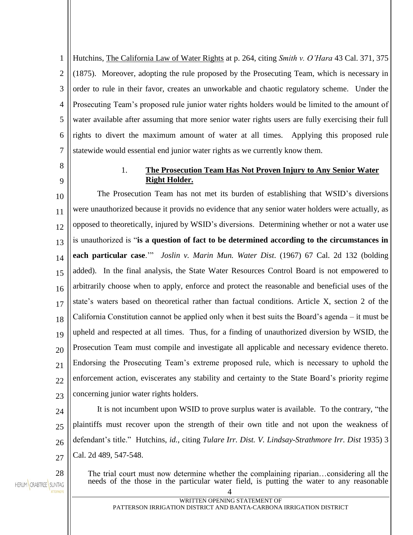1 2 3 4 5 6 7 Hutchins, The California Law of Water Rights at p. 264, citing *Smith v. O'Hara* 43 Cal. 371, 375 (1875). Moreover, adopting the rule proposed by the Prosecuting Team, which is necessary in order to rule in their favor, creates an unworkable and chaotic regulatory scheme. Under the Prosecuting Team's proposed rule junior water rights holders would be limited to the amount of water available after assuming that more senior water rights users are fully exercising their full rights to divert the maximum amount of water at all times. Applying this proposed rule statewide would essential end junior water rights as we currently know them.

8 9

## 1. **The Prosecution Team Has Not Proven Injury to Any Senior Water Right Holder.**

10 11 12 13 14 15 16 17 18 19 20 21  $22$ 23 The Prosecution Team has not met its burden of establishing that WSID's diversions were unauthorized because it provids no evidence that any senior water holders were actually, as opposed to theoretically, injured by WSID's diversions. Determining whether or not a water use is unauthorized is "**is a question of fact to be determined according to the circumstances in each particular case**.'" *Joslin v. Marin Mun. Water Dist*. (1967) 67 Cal. 2d 132 (bolding added). In the final analysis, the State Water Resources Control Board is not empowered to arbitrarily choose when to apply, enforce and protect the reasonable and beneficial uses of the state's waters based on theoretical rather than factual conditions. Article X, section 2 of the California Constitution cannot be applied only when it best suits the Board's agenda – it must be upheld and respected at all times. Thus, for a finding of unauthorized diversion by WSID, the Prosecution Team must compile and investigate all applicable and necessary evidence thereto. Endorsing the Prosecuting Team's extreme proposed rule, which is necessary to uphold the enforcement action, eviscerates any stability and certainty to the State Board's priority regime concerning junior water rights holders.

24

 $25$ 

26

27

28

It is not incumbent upon WSID to prove surplus water is available. To the contrary, "the plaintiffs must recover upon the strength of their own title and not upon the weakness of defendant's title." Hutchins, *id.*, citing *Tulare Irr. Dist. V. Lindsay-Strathmore Irr. Dist* 1935) 3 Cal. 2d 489, 547-548.

HERUM CRABTREE SUNTAG

The trial court must now determine whether the complaining riparian…considering all the needs of the those in the particular water field, is putting the water to any reasonable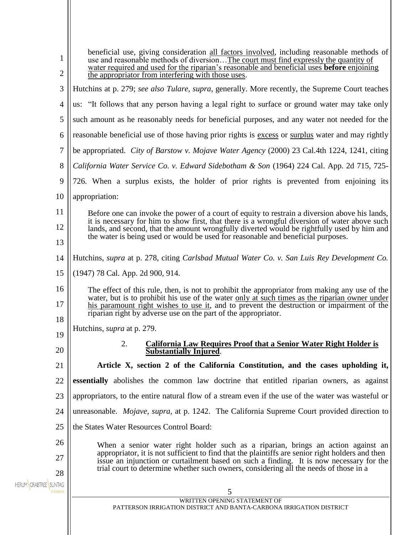| 1<br>$\overline{2}$         | beneficial use, giving consideration all factors involved, including reasonable methods of<br>use and reasonable methods of diversionThe court must find expressly the quantity of<br>water required and used for the riparian's reasonable and beneficial uses <b>before</b> enjoining<br>the appropriator from interfering with those uses. |  |
|-----------------------------|-----------------------------------------------------------------------------------------------------------------------------------------------------------------------------------------------------------------------------------------------------------------------------------------------------------------------------------------------|--|
| 3                           | Hutchins at p. 279; see also Tulare, supra, generally. More recently, the Supreme Court teaches                                                                                                                                                                                                                                               |  |
| 4                           | us: "It follows that any person having a legal right to surface or ground water may take only                                                                                                                                                                                                                                                 |  |
| 5                           | such amount as he reasonably needs for beneficial purposes, and any water not needed for the                                                                                                                                                                                                                                                  |  |
| 6                           | reasonable beneficial use of those having prior rights is excess or surplus water and may rightly                                                                                                                                                                                                                                             |  |
| 7                           | be appropriated. <i>City of Barstow v. Mojave Water Agency</i> (2000) 23 Cal.4th 1224, 1241, citing                                                                                                                                                                                                                                           |  |
| 8                           | California Water Service Co. v. Edward Sidebotham & Son (1964) 224 Cal. App. 2d 715, 725-                                                                                                                                                                                                                                                     |  |
| 9                           | 726. When a surplus exists, the holder of prior rights is prevented from enjoining its                                                                                                                                                                                                                                                        |  |
| 10                          | appropriation:                                                                                                                                                                                                                                                                                                                                |  |
| 11                          | Before one can invoke the power of a court of equity to restrain a diversion above his lands,                                                                                                                                                                                                                                                 |  |
| 12                          | it is necessary for him to show first, that there is a wrongful diversion of water above such                                                                                                                                                                                                                                                 |  |
| 13                          | lands, and second, that the amount wrongfully diverted would be rightfully used by him and the water is being used or would be used for reasonable and beneficial purposes.                                                                                                                                                                   |  |
| 14                          | Hutchins, supra at p. 278, citing Carlsbad Mutual Water Co. v. San Luis Rey Development Co.                                                                                                                                                                                                                                                   |  |
| 15                          | (1947) 78 Cal. App. 2d 900, 914.                                                                                                                                                                                                                                                                                                              |  |
| 16                          | The effect of this rule, then, is not to prohibit the appropriator from making any use of the                                                                                                                                                                                                                                                 |  |
| 17                          | water, but is to prohibit his use of the water only at such times as the riparian owner under<br>his paramount right wishes to use it, and to prevent the destruction or impairment of the<br>riparian right by adverse use on the part of the appropriator.                                                                                  |  |
| 18                          | Hutchins, <i>supra</i> at p. 279.                                                                                                                                                                                                                                                                                                             |  |
| 19                          | <b>California Law Requires Proof that a Senior Water Right Holder is</b><br>2.                                                                                                                                                                                                                                                                |  |
| 20                          | Substantially Injured.                                                                                                                                                                                                                                                                                                                        |  |
| 21                          | Article X, section 2 of the California Constitution, and the cases upholding it,                                                                                                                                                                                                                                                              |  |
| 22                          | <b>essentially</b> abolishes the common law doctrine that entitled riparian owners, as against                                                                                                                                                                                                                                                |  |
| 23                          | appropriators, to the entire natural flow of a stream even if the use of the water was wasteful or                                                                                                                                                                                                                                            |  |
| 24                          | unreasonable. <i>Mojave, supra,</i> at p. 1242. The California Supreme Court provided direction to                                                                                                                                                                                                                                            |  |
| 25                          | the States Water Resources Control Board:                                                                                                                                                                                                                                                                                                     |  |
| 26                          | When a senior water right holder such as a riparian, brings an action against an                                                                                                                                                                                                                                                              |  |
| 27                          | appropriator, it is not sufficient to find that the plaintiffs are senior right holders and then<br>issue an injunction or curtailment based on such a finding. It is now necessary for the<br>trial court to determine whether such owners, considering all the needs of those in a                                                          |  |
| 28<br>HERUM CRABTREE SUNTAG |                                                                                                                                                                                                                                                                                                                                               |  |
|                             | 5<br>WRITTEN OPENING STATEMENT OF                                                                                                                                                                                                                                                                                                             |  |
|                             | PATTERSON IRRIGATION DISTRICT AND BANTA-CARBONA IRRIGATION DISTRICT                                                                                                                                                                                                                                                                           |  |
|                             |                                                                                                                                                                                                                                                                                                                                               |  |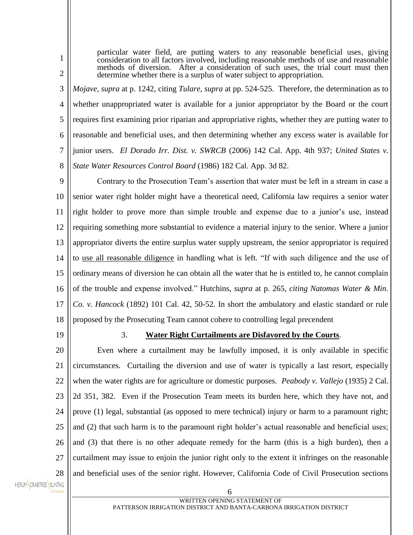particular water field, are putting waters to any reasonable beneficial uses, giving consideration to all factors involved, including reasonable methods of use and reasonable methods of diversion. After a consideration of such uses, the trial court must then determine whether there is a surplus of water subject to appropriation.

3 4 5 6 7 8 *Mojave, supra* at p. 1242, citing *Tulare*, *supra* at pp. 524-525. Therefore, the determination as to whether unappropriated water is available for a junior appropriator by the Board or the court requires first examining prior riparian and appropriative rights, whether they are putting water to reasonable and beneficial uses, and then determining whether any excess water is available for junior users. *El Dorado Irr. Dist. v. SWRCB* (2006) 142 Cal. App. 4th 937; *United States v. State Water Resources Control Board* (1986) 182 Cal. App. 3d 82.

9 10 11 12 13 14 15 16 17 18 Contrary to the Prosecution Team's assertion that water must be left in a stream in case a senior water right holder might have a theoretical need, California law requires a senior water right holder to prove more than simple trouble and expense due to a junior's use, instead requiring something more substantial to evidence a material injury to the senior. Where a junior appropriator diverts the entire surplus water supply upstream, the senior appropriator is required to use all reasonable diligence in handling what is left. "If with such diligence and the use of ordinary means of diversion he can obtain all the water that he is entitled to, he cannot complain of the trouble and expense involved." Hutchins, *supra* at p. 265, *citing Natomas Water & Min. Co. v. Hancock* (1892) 101 Cal. 42, 50-52. In short the ambulatory and elastic standard or rule proposed by the Prosecuting Team cannot cohere to controlling legal precendent

19

1

2

## 3. **Water Right Curtailments are Disfavored by the Courts**.

20 21 22 23 24 25 26 27 28 Even where a curtailment may be lawfully imposed, it is only available in specific circumstances. Curtailing the diversion and use of water is typically a last resort, especially when the water rights are for agriculture or domestic purposes. *Peabody v. Vallejo* (1935) 2 Cal. 2d 351, 382. Even if the Prosecution Team meets its burden here, which they have not, and prove (1) legal, substantial (as opposed to mere technical) injury or harm to a paramount right; and (2) that such harm is to the paramount right holder's actual reasonable and beneficial uses; and (3) that there is no other adequate remedy for the harm (this is a high burden), then a curtailment may issue to enjoin the junior right only to the extent it infringes on the reasonable and beneficial uses of the senior right. However, California Code of Civil Prosecution sections

HERUM CRABTREE SUNTAG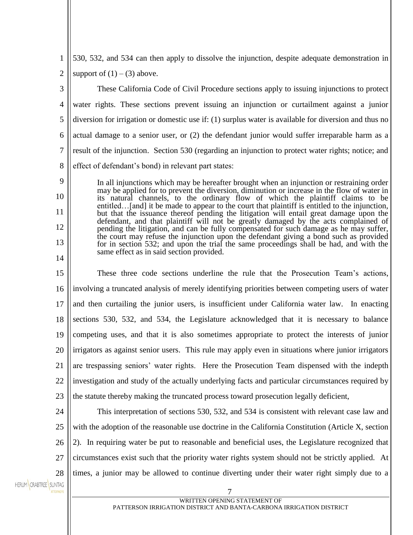1 2 530, 532, and 534 can then apply to dissolve the injunction, despite adequate demonstration in support of  $(1) - (3)$  above.

3 4 5 6 7 8 These California Code of Civil Procedure sections apply to issuing injunctions to protect water rights. These sections prevent issuing an injunction or curtailment against a junior diversion for irrigation or domestic use if: (1) surplus water is available for diversion and thus no actual damage to a senior user, or (2) the defendant junior would suffer irreparable harm as a result of the injunction. Section 530 (regarding an injunction to protect water rights; notice; and effect of defendant's bond) in relevant part states:

In all injunctions which may be hereafter brought when an injunction or restraining order may be applied for to prevent the diversion, diminution or increase in the flow of water in its natural channels, to the ordinary flow of which the plaintiff claims to be entitled…[and] it be made to appear to the court that plaintiff is entitled to the injunction, but that the issuance thereof pending the litigation will entail great damage upon the defendant, and that plaintiff will not be greatly damaged by the acts complained of pending the litigation, and can be fully compensated for such damage as he may suffer, the court may refuse the injunction upon the defendant giving a bond such as provided for in section 532; and upon the trial the same proceedings shall be had, and with the same effect as in said section provided.

15 16 17 18 19 20 21 22 23 These three code sections underline the rule that the Prosecution Team's actions, involving a truncated analysis of merely identifying priorities between competing users of water and then curtailing the junior users, is insufficient under California water law. In enacting sections 530, 532, and 534, the Legislature acknowledged that it is necessary to balance competing uses, and that it is also sometimes appropriate to protect the interests of junior irrigators as against senior users. This rule may apply even in situations where junior irrigators are trespassing seniors' water rights. Here the Prosecution Team dispensed with the indepth investigation and study of the actually underlying facts and particular circumstances required by the statute thereby making the truncated process toward prosecution legally deficient,

24

9

10

11

12

13

14

25 26 27 28 This interpretation of sections 530, 532, and 534 is consistent with relevant case law and with the adoption of the reasonable use doctrine in the California Constitution (Article X, section 2). In requiring water be put to reasonable and beneficial uses, the Legislature recognized that circumstances exist such that the priority water rights system should not be strictly applied. At times, a junior may be allowed to continue diverting under their water right simply due to a

HERUM CRABTREE SUNTAG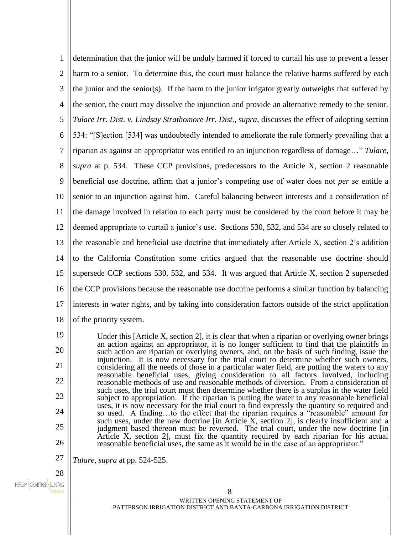| 1              | determination that the junior will be unduly harmed if forced to curtail his use to prevent a lesser                                                                                       |
|----------------|--------------------------------------------------------------------------------------------------------------------------------------------------------------------------------------------|
| $\overline{2}$ | harm to a senior. To determine this, the court must balance the relative harms suffered by each                                                                                            |
| 3              | the junior and the senior(s). If the harm to the junior irrigator greatly outweighs that suffered by                                                                                       |
| $\overline{4}$ | the senior, the court may dissolve the injunction and provide an alternative remedy to the senior.                                                                                         |
| 5              | Tulare Irr. Dist. v. Lindsay Strathomore Irr. Dist., supra, discusses the effect of adopting section                                                                                       |
| 6              | 534: "[S] ection [534] was undoubtedly intended to ameliorate the rule formerly prevailing that a                                                                                          |
| 7              | riparian as against an appropriator was entitled to an injunction regardless of damage" Tulare,                                                                                            |
| 8              | supra at p. 534. These CCP provisions, predecessors to the Article X, section 2 reasonable                                                                                                 |
| 9              | beneficial use doctrine, affirm that a junior's competing use of water does not <i>per se</i> entitle a                                                                                    |
| 10             | senior to an injunction against him. Careful balancing between interests and a consideration of                                                                                            |
| 11             | the damage involved in relation to each party must be considered by the court before it may be                                                                                             |
| 12             | deemed appropriate to curtail a junior's use. Sections 530, 532, and 534 are so closely related to                                                                                         |
| 13             | the reasonable and beneficial use doctrine that immediately after Article X, section 2's addition                                                                                          |
| 14             | to the California Constitution some critics argued that the reasonable use doctrine should                                                                                                 |
| 15             | supersede CCP sections 530, 532, and 534. It was argued that Article X, section 2 superseded                                                                                               |
| 16             | the CCP provisions because the reasonable use doctrine performs a similar function by balancing                                                                                            |
| 17             | interests in water rights, and by taking into consideration factors outside of the strict application                                                                                      |
| 18             | of the priority system.                                                                                                                                                                    |
| 19             | Under this [Article X, section 2], it is clear that when a riparian or overlying owner brings                                                                                              |
| 20             | an action against an appropriator, it is no longer sufficient to find that the plaintiffs in<br>such action are riparian or overlying owners, and, on the basis of such finding, issue the |
| 21             | injunction. It is now necessary for the trial court to determine whether such owners,<br>considering all the needs of those in a particular water field, are putting the waters to any     |
| 22             | reasonable beneficial uses, giving consideration to all factors involved, including<br>reasonable methods of use and reasonable methods of diversion. From a consideration of              |

reasonable methods of use and reasonable methods of diversion. From a consideration of such uses, the trial court must then determine whether there is a surplus in the water field subject to appropriation. If the riparian is putting the water to any reasonable beneficial uses, it is now necessary for the trial court to find expressly the quantity so required and so used. A finding…to the effect that the riparian requires a "reasonable" amount for such uses, under the new doctrine [in Article  $X$ , section 2], is clearly insufficient and a judgment based thereon must be reversed. The trial court, under the new doctrine [in Article X, section 2], must fix the quantity required by each riparian for his actual reasonable beneficial uses, the same as it would be in the case of an appropriator."

27 *Tulare*, *supra* at pp. 524-525.

28 HERUM CRABTREE SUNTAG

23

24

25

26

WRITTEN OPENING STATEMENT OF PATTERSON IRRIGATION DISTRICT AND BANTA-CARBONA IRRIGATION DISTRICT